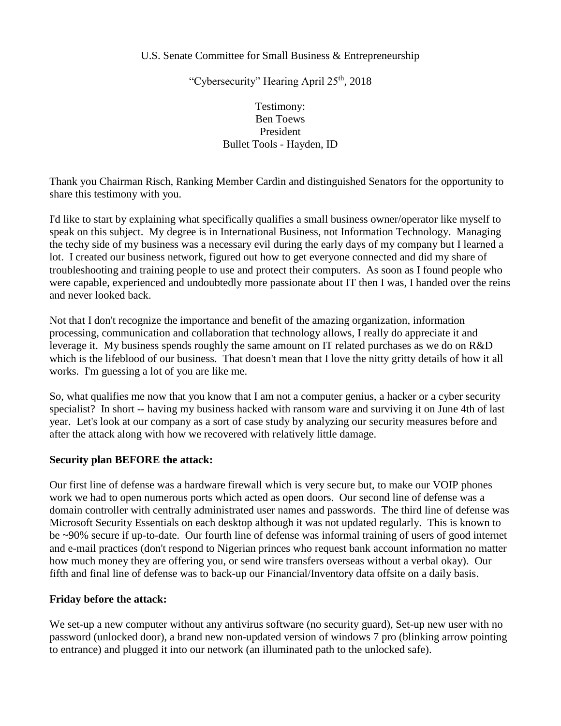### U.S. Senate Committee for Small Business & Entrepreneurship

"Cybersecurity" Hearing April 25<sup>th</sup>, 2018

# Testimony: Ben Toews President Bullet Tools - Hayden, ID

Thank you Chairman Risch, Ranking Member Cardin and distinguished Senators for the opportunity to share this testimony with you.

I'd like to start by explaining what specifically qualifies a small business owner/operator like myself to speak on this subject. My degree is in International Business, not Information Technology. Managing the techy side of my business was a necessary evil during the early days of my company but I learned a lot. I created our business network, figured out how to get everyone connected and did my share of troubleshooting and training people to use and protect their computers. As soon as I found people who were capable, experienced and undoubtedly more passionate about IT then I was, I handed over the reins and never looked back.

Not that I don't recognize the importance and benefit of the amazing organization, information processing, communication and collaboration that technology allows, I really do appreciate it and leverage it. My business spends roughly the same amount on IT related purchases as we do on R&D which is the lifeblood of our business. That doesn't mean that I love the nitty gritty details of how it all works. I'm guessing a lot of you are like me.

So, what qualifies me now that you know that I am not a computer genius, a hacker or a cyber security specialist? In short -- having my business hacked with ransom ware and surviving it on June 4th of last year. Let's look at our company as a sort of case study by analyzing our security measures before and after the attack along with how we recovered with relatively little damage.

### **Security plan BEFORE the attack:**

Our first line of defense was a hardware firewall which is very secure but, to make our VOIP phones work we had to open numerous ports which acted as open doors. Our second line of defense was a domain controller with centrally administrated user names and passwords. The third line of defense was Microsoft Security Essentials on each desktop although it was not updated regularly. This is known to be ~90% secure if up-to-date. Our fourth line of defense was informal training of users of good internet and e-mail practices (don't respond to Nigerian princes who request bank account information no matter how much money they are offering you, or send wire transfers overseas without a verbal okay). Our fifth and final line of defense was to back-up our Financial/Inventory data offsite on a daily basis.

## **Friday before the attack:**

We set-up a new computer without any antivirus software (no security guard), Set-up new user with no password (unlocked door), a brand new non-updated version of windows 7 pro (blinking arrow pointing to entrance) and plugged it into our network (an illuminated path to the unlocked safe).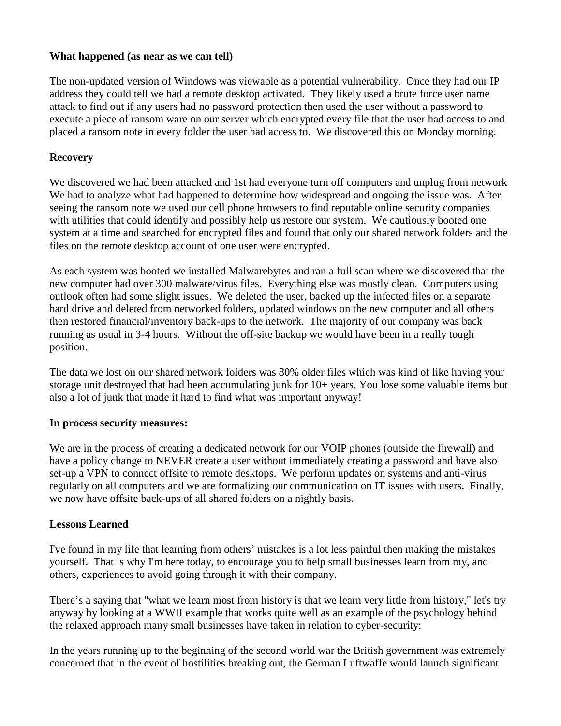### **What happened (as near as we can tell)**

The non-updated version of Windows was viewable as a potential vulnerability. Once they had our IP address they could tell we had a remote desktop activated. They likely used a brute force user name attack to find out if any users had no password protection then used the user without a password to execute a piece of ransom ware on our server which encrypted every file that the user had access to and placed a ransom note in every folder the user had access to. We discovered this on Monday morning.

### **Recovery**

We discovered we had been attacked and 1st had everyone turn off computers and unplug from network We had to analyze what had happened to determine how widespread and ongoing the issue was. After seeing the ransom note we used our cell phone browsers to find reputable online security companies with utilities that could identify and possibly help us restore our system. We cautiously booted one system at a time and searched for encrypted files and found that only our shared network folders and the files on the remote desktop account of one user were encrypted.

As each system was booted we installed Malwarebytes and ran a full scan where we discovered that the new computer had over 300 malware/virus files. Everything else was mostly clean. Computers using outlook often had some slight issues. We deleted the user, backed up the infected files on a separate hard drive and deleted from networked folders, updated windows on the new computer and all others then restored financial/inventory back-ups to the network. The majority of our company was back running as usual in 3-4 hours. Without the off-site backup we would have been in a really tough position.

The data we lost on our shared network folders was 80% older files which was kind of like having your storage unit destroyed that had been accumulating junk for 10+ years. You lose some valuable items but also a lot of junk that made it hard to find what was important anyway!

### **In process security measures:**

We are in the process of creating a dedicated network for our VOIP phones (outside the firewall) and have a policy change to NEVER create a user without immediately creating a password and have also set-up a VPN to connect offsite to remote desktops. We perform updates on systems and anti-virus regularly on all computers and we are formalizing our communication on IT issues with users. Finally, we now have offsite back-ups of all shared folders on a nightly basis.

### **Lessons Learned**

I've found in my life that learning from others' mistakes is a lot less painful then making the mistakes yourself. That is why I'm here today, to encourage you to help small businesses learn from my, and others, experiences to avoid going through it with their company.

There's a saying that "what we learn most from history is that we learn very little from history," let's try anyway by looking at a WWII example that works quite well as an example of the psychology behind the relaxed approach many small businesses have taken in relation to cyber-security:

In the years running up to the beginning of the second world war the British government was extremely concerned that in the event of hostilities breaking out, the German Luftwaffe would launch significant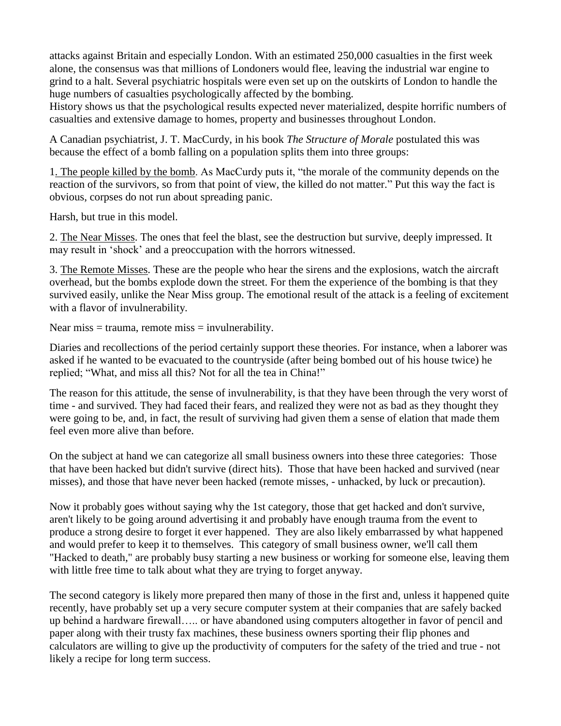attacks against Britain and especially London. With an estimated 250,000 casualties in the first week alone, the consensus was that millions of Londoners would flee, leaving the industrial war engine to grind to a halt. Several psychiatric hospitals were even set up on the outskirts of London to handle the huge numbers of casualties psychologically affected by the bombing.

History shows us that the psychological results expected never materialized, despite horrific numbers of casualties and extensive damage to homes, property and businesses throughout London.

A Canadian psychiatrist, J. T. MacCurdy, in his book *The Structure of Morale* postulated this was because the effect of a bomb falling on a population splits them into three groups:

1. The people killed by the bomb. As MacCurdy puts it, "the morale of the community depends on the reaction of the survivors, so from that point of view, the killed do not matter." Put this way the fact is obvious, corpses do not run about spreading panic.

Harsh, but true in this model.

2. The Near Misses. The ones that feel the blast, see the destruction but survive, deeply impressed. It may result in 'shock' and a preoccupation with the horrors witnessed.

3. The Remote Misses. These are the people who hear the sirens and the explosions, watch the aircraft overhead, but the bombs explode down the street. For them the experience of the bombing is that they survived easily, unlike the Near Miss group. The emotional result of the attack is a feeling of excitement with a flavor of invulnerability.

Near miss  $=$  trauma, remote miss  $=$  invulnerability.

Diaries and recollections of the period certainly support these theories. For instance, when a laborer was asked if he wanted to be evacuated to the countryside (after being bombed out of his house twice) he replied; "What, and miss all this? Not for all the tea in China!"

The reason for this attitude, the sense of invulnerability, is that they have been through the very worst of time - and survived. They had faced their fears, and realized they were not as bad as they thought they were going to be, and, in fact, the result of surviving had given them a sense of elation that made them feel even more alive than before.

On the subject at hand we can categorize all small business owners into these three categories: Those that have been hacked but didn't survive (direct hits). Those that have been hacked and survived (near misses), and those that have never been hacked (remote misses, - unhacked, by luck or precaution).

Now it probably goes without saying why the 1st category, those that get hacked and don't survive, aren't likely to be going around advertising it and probably have enough trauma from the event to produce a strong desire to forget it ever happened. They are also likely embarrassed by what happened and would prefer to keep it to themselves. This category of small business owner, we'll call them "Hacked to death," are probably busy starting a new business or working for someone else, leaving them with little free time to talk about what they are trying to forget anyway.

The second category is likely more prepared then many of those in the first and, unless it happened quite recently, have probably set up a very secure computer system at their companies that are safely backed up behind a hardware firewall….. or have abandoned using computers altogether in favor of pencil and paper along with their trusty fax machines, these business owners sporting their flip phones and calculators are willing to give up the productivity of computers for the safety of the tried and true - not likely a recipe for long term success.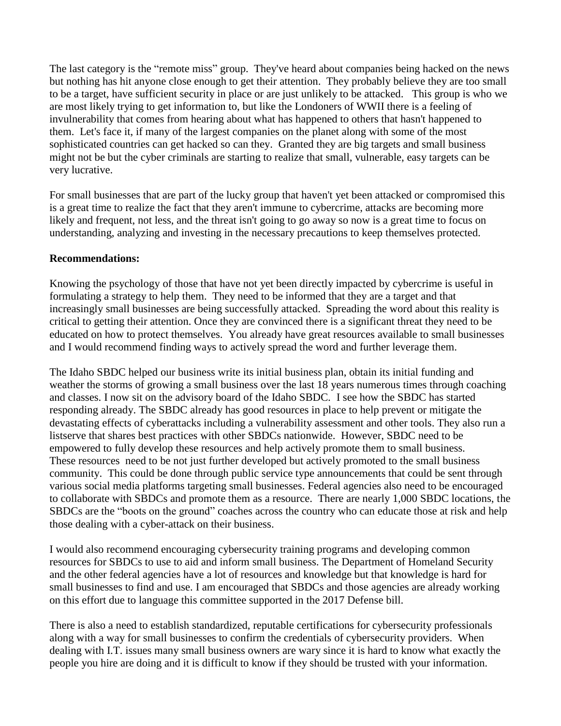The last category is the "remote miss" group. They've heard about companies being hacked on the news but nothing has hit anyone close enough to get their attention. They probably believe they are too small to be a target, have sufficient security in place or are just unlikely to be attacked. This group is who we are most likely trying to get information to, but like the Londoners of WWII there is a feeling of invulnerability that comes from hearing about what has happened to others that hasn't happened to them. Let's face it, if many of the largest companies on the planet along with some of the most sophisticated countries can get hacked so can they. Granted they are big targets and small business might not be but the cyber criminals are starting to realize that small, vulnerable, easy targets can be very lucrative.

For small businesses that are part of the lucky group that haven't yet been attacked or compromised this is a great time to realize the fact that they aren't immune to cybercrime, attacks are becoming more likely and frequent, not less, and the threat isn't going to go away so now is a great time to focus on understanding, analyzing and investing in the necessary precautions to keep themselves protected.

### **Recommendations:**

Knowing the psychology of those that have not yet been directly impacted by cybercrime is useful in formulating a strategy to help them. They need to be informed that they are a target and that increasingly small businesses are being successfully attacked. Spreading the word about this reality is critical to getting their attention. Once they are convinced there is a significant threat they need to be educated on how to protect themselves. You already have great resources available to small businesses and I would recommend finding ways to actively spread the word and further leverage them.

The Idaho SBDC helped our business write its initial business plan, obtain its initial funding and weather the storms of growing a small business over the last 18 years numerous times through coaching and classes. I now sit on the advisory board of the Idaho SBDC. I see how the SBDC has started responding already. The SBDC already has good resources in place to help prevent or mitigate the devastating effects of cyberattacks including a vulnerability assessment and other tools. They also run a listserve that shares best practices with other SBDCs nationwide. However, SBDC need to be empowered to fully develop these resources and help actively promote them to small business. These resources need to be not just further developed but actively promoted to the small business community. This could be done through public service type announcements that could be sent through various social media platforms targeting small businesses. Federal agencies also need to be encouraged to collaborate with SBDCs and promote them as a resource. There are nearly 1,000 SBDC locations, the SBDCs are the "boots on the ground" coaches across the country who can educate those at risk and help those dealing with a cyber-attack on their business.

I would also recommend encouraging cybersecurity training programs and developing common resources for SBDCs to use to aid and inform small business. The Department of Homeland Security and the other federal agencies have a lot of resources and knowledge but that knowledge is hard for small businesses to find and use. I am encouraged that SBDCs and those agencies are already working on this effort due to language this committee supported in the 2017 Defense bill.

There is also a need to establish standardized, reputable certifications for cybersecurity professionals along with a way for small businesses to confirm the credentials of cybersecurity providers. When dealing with I.T. issues many small business owners are wary since it is hard to know what exactly the people you hire are doing and it is difficult to know if they should be trusted with your information.